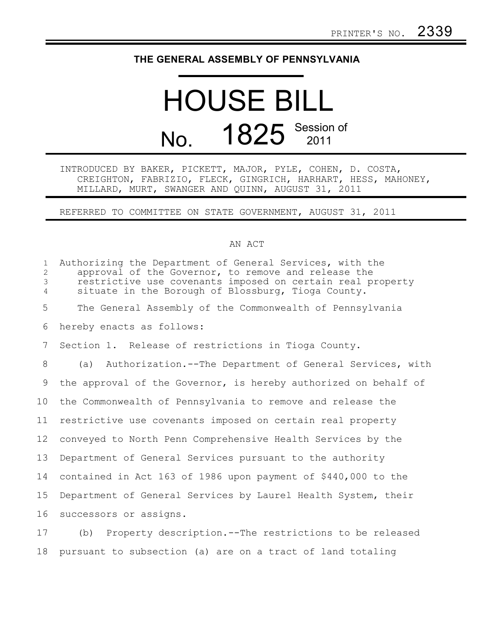## **THE GENERAL ASSEMBLY OF PENNSYLVANIA**

## HOUSE BILL No. 1825 Session of

INTRODUCED BY BAKER, PICKETT, MAJOR, PYLE, COHEN, D. COSTA, CREIGHTON, FABRIZIO, FLECK, GINGRICH, HARHART, HESS, MAHONEY, MILLARD, MURT, SWANGER AND QUINN, AUGUST 31, 2011

REFERRED TO COMMITTEE ON STATE GOVERNMENT, AUGUST 31, 2011

## AN ACT

| $\mathbf{1}$<br>$\overline{2}$<br>3<br>$\overline{4}$ | Authorizing the Department of General Services, with the<br>approval of the Governor, to remove and release the<br>restrictive use covenants imposed on certain real property<br>situate in the Borough of Blossburg, Tioga County. |
|-------------------------------------------------------|-------------------------------------------------------------------------------------------------------------------------------------------------------------------------------------------------------------------------------------|
| 5                                                     | The General Assembly of the Commonwealth of Pennsylvania                                                                                                                                                                            |
| 6                                                     | hereby enacts as follows:                                                                                                                                                                                                           |
| 7                                                     | Section 1. Release of restrictions in Tioga County.                                                                                                                                                                                 |
| 8                                                     | Authorization.--The Department of General Services, with<br>(a)                                                                                                                                                                     |
| 9                                                     | the approval of the Governor, is hereby authorized on behalf of                                                                                                                                                                     |
| 10 <sup>°</sup>                                       | the Commonwealth of Pennsylvania to remove and release the                                                                                                                                                                          |
| 11                                                    | restrictive use covenants imposed on certain real property                                                                                                                                                                          |
| 12                                                    | conveyed to North Penn Comprehensive Health Services by the                                                                                                                                                                         |
| 13                                                    | Department of General Services pursuant to the authority                                                                                                                                                                            |
| 14                                                    | contained in Act 163 of 1986 upon payment of \$440,000 to the                                                                                                                                                                       |
| 15                                                    | Department of General Services by Laurel Health System, their                                                                                                                                                                       |
| 16                                                    | successors or assigns.                                                                                                                                                                                                              |
| 17                                                    | Property description. -- The restrictions to be released<br>(b)                                                                                                                                                                     |

18 pursuant to subsection (a) are on a tract of land totaling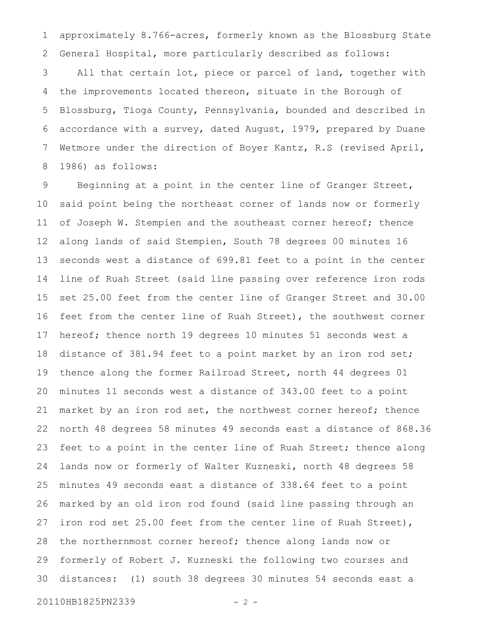approximately 8.766-acres, formerly known as the Blossburg State General Hospital, more particularly described as follows: 1 2

All that certain lot, piece or parcel of land, together with the improvements located thereon, situate in the Borough of Blossburg, Tioga County, Pennsylvania, bounded and described in accordance with a survey, dated August, 1979, prepared by Duane Wetmore under the direction of Boyer Kantz, R.S (revised April, 1986) as follows: 3 4 5 6 7 8

Beginning at a point in the center line of Granger Street, said point being the northeast corner of lands now or formerly of Joseph W. Stempien and the southeast corner hereof; thence along lands of said Stempien, South 78 degrees 00 minutes 16 seconds west a distance of 699.81 feet to a point in the center line of Ruah Street (said line passing over reference iron rods set 25.00 feet from the center line of Granger Street and 30.00 feet from the center line of Ruah Street), the southwest corner hereof; thence north 19 degrees 10 minutes 51 seconds west a distance of 381.94 feet to a point market by an iron rod set; thence along the former Railroad Street, north 44 degrees 01 minutes 11 seconds west a distance of 343.00 feet to a point market by an iron rod set, the northwest corner hereof; thence north 48 degrees 58 minutes 49 seconds east a distance of 868.36 feet to a point in the center line of Ruah Street; thence along lands now or formerly of Walter Kuzneski, north 48 degrees 58 minutes 49 seconds east a distance of 338.64 feet to a point marked by an old iron rod found (said line passing through an iron rod set 25.00 feet from the center line of Ruah Street), the northernmost corner hereof; thence along lands now or formerly of Robert J. Kuzneski the following two courses and distances: (1) south 38 degrees 30 minutes 54 seconds east a 9 10 11 12 13 14 15 16 17 18 19 20 21 22 23 24 25 26 27 28 29 30

20110HB1825PN2339 - 2 -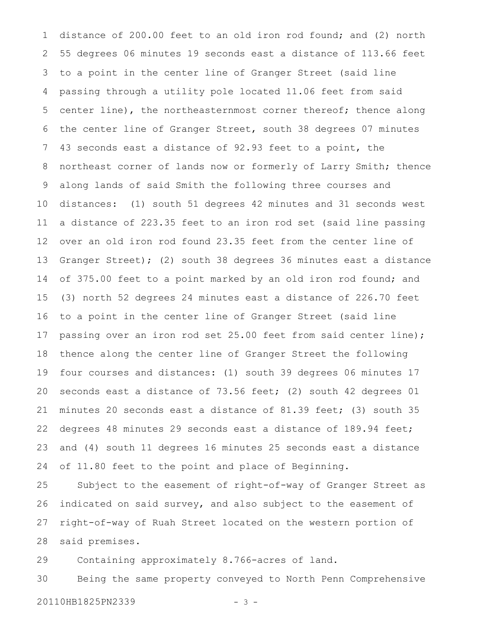distance of 200.00 feet to an old iron rod found; and (2) north 55 degrees 06 minutes 19 seconds east a distance of 113.66 feet to a point in the center line of Granger Street (said line passing through a utility pole located 11.06 feet from said center line), the northeasternmost corner thereof; thence along the center line of Granger Street, south 38 degrees 07 minutes 43 seconds east a distance of 92.93 feet to a point, the northeast corner of lands now or formerly of Larry Smith; thence along lands of said Smith the following three courses and distances: (1) south 51 degrees 42 minutes and 31 seconds west a distance of 223.35 feet to an iron rod set (said line passing over an old iron rod found 23.35 feet from the center line of Granger Street); (2) south 38 degrees 36 minutes east a distance of 375.00 feet to a point marked by an old iron rod found; and (3) north 52 degrees 24 minutes east a distance of 226.70 feet to a point in the center line of Granger Street (said line passing over an iron rod set 25.00 feet from said center line); thence along the center line of Granger Street the following four courses and distances: (1) south 39 degrees 06 minutes 17 seconds east a distance of 73.56 feet; (2) south 42 degrees 01 minutes 20 seconds east a distance of 81.39 feet; (3) south 35 degrees 48 minutes 29 seconds east a distance of 189.94 feet; and (4) south 11 degrees 16 minutes 25 seconds east a distance of 11.80 feet to the point and place of Beginning. 1 2 3 4 5 6 7 8 9 10 11 12 13 14 15 16 17 18 19 20 21 22 23 24

Subject to the easement of right-of-way of Granger Street as indicated on said survey, and also subject to the easement of right-of-way of Ruah Street located on the western portion of said premises. 25 26 27 28

Containing approximately 8.766-acres of land. 29

Being the same property conveyed to North Penn Comprehensive 20110HB1825PN2339 - 3 -30